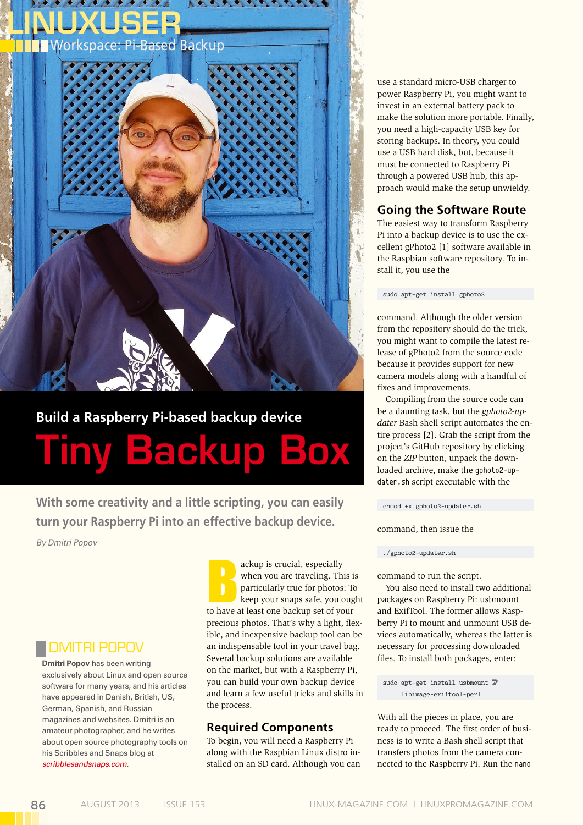

# **Build a Raspberry Pi-based backup device** Tiny Backup Box

**With some creativity and a little scripting, you can easily turn your Raspberry Pi into an effective backup device.** 

*By Dmitri Popov*

# Dmitri Popov

**Dmitri Popov** has been writing exclusively about Linux and open source software for many years, and his articles have appeared in Danish, British, US, German, Spanish, and Russian magazines and websites. Dmitri is an amateur photographer, and he writes about open source photography tools on his Scribbles and Snaps blog at *scribblesandsnaps.com*.

ackup is crucial, especially<br>
when you are traveling. This is<br>
particularly true for photos: To<br>
keep your snaps safe, you oug<br>
to have at least one backup set of your ackup is crucial, especially when you are traveling. This is particularly true for photos: To keep your snaps safe, you ought precious photos. That's why a light, flexible, and inexpensive backup tool can be an indispensable tool in your travel bag. Several backup solutions are available on the market, but with a Raspberry Pi, you can build your own backup device and learn a few useful tricks and skills in the process.

## **Required Components**

To begin, you will need a Raspberry Pi along with the Raspbian Linux distro installed on an SD card. Although you can

use a standard micro-USB charger to power Raspberry Pi, you might want to invest in an external battery pack to make the solution more portable. Finally, you need a high-capacity USB key for storing backups. In theory, you could use a USB hard disk, but, because it must be connected to Raspberry Pi through a powered USB hub, this approach would make the setup unwieldy.

## **Going the Software Route**

The easiest way to transform Raspberry Pi into a backup device is to use the excellent gPhoto2 [1] software available in the Raspbian software repository. To install it, you use the

sudo apt-get install gphoto2

command. Although the older version from the repository should do the trick, you might want to compile the latest release of gPhoto2 from the source code because it provides support for new camera models along with a handful of fixes and improvements.

Compiling from the source code can be a daunting task, but the *gphoto2-updater* Bash shell script automates the entire process [2]. Grab the script from the project's GitHub repository by clicking on the *ZIP* button, unpack the downloaded archive, make the qphoto2-updater.sh script executable with the

chmod +x gphoto2‑updater.sh

command, then issue the

#### ./gphoto2‑updater.sh

command to run the script.

You also need to install two additional packages on Raspberry Pi: usbmount and ExifTool. The former allows Raspberry Pi to mount and unmount USB devices automatically, whereas the latter is necessary for processing downloaded files. To install both packages, enter:

sudo apt-get install usbmount  $\overline{Z}$ libimage‑exiftool‑perl

With all the pieces in place, you are ready to proceed. The first order of business is to write a Bash shell script that transfers photos from the camera connected to the Raspberry Pi. Run the nano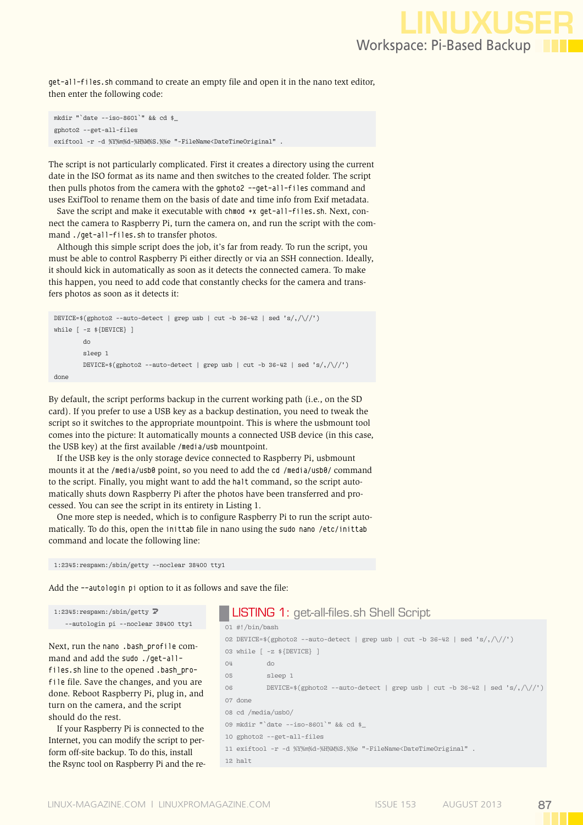get‑all‑files.sh command to create an empty file and open it in the nano text editor, then enter the following code:

mkdir "`date ‑‑iso‑8601`" && cd \$\_ gphoto2 ‑‑get‑all‑files exiftool -r -d %Y%m%d-%H%M%S.%%e "-FileName<DateTimeOriginal" .

The script is not particularly complicated. First it creates a directory using the current date in the ISO format as its name and then switches to the created folder. The script then pulls photos from the camera with the gphoto2 --get-all-files command and uses ExifTool to rename them on the basis of date and time info from Exif metadata.

Save the script and make it executable with chmod +x qet-all-files.sh. Next, connect the camera to Raspberry Pi, turn the camera on, and run the script with the command ./qet-all-files.sh to transfer photos.

Although this simple script does the job, it's far from ready. To run the script, you must be able to control Raspberry Pi either directly or via an SSH connection. Ideally, it should kick in automatically as soon as it detects the connected camera. To make this happen, you need to add code that constantly checks for the camera and transfers photos as soon as it detects it:

```
DEVICE=$(gphoto2 --auto-detect | grep usb | cut -b 36-42 | sed 's/,/\//')
while [ -z ${DEVICE} ]
         do
         sleep 1
        DEVICE=*(gphoto2 --auto-detect \mid grep usb \mid cut -b 36-42 \mid sed 's/,\sqrt{\}/')done
```
By default, the script performs backup in the current working path (i.e., on the SD card). If you prefer to use a USB key as a backup destination, you need to tweak the script so it switches to the appropriate mountpoint. This is where the usbmount tool comes into the picture: It automatically mounts a connected USB device (in this case, the USB key) at the first available /media/usb mountpoint.

If the USB key is the only storage device connected to Raspberry Pi, usbmount mounts it at the /media/usb0 point, so you need to add the cd /media/usb0/ command to the script. Finally, you might want to add the halt command, so the script automatically shuts down Raspberry Pi after the photos have been transferred and processed. You can see the script in its entirety in Listing 1.

One more step is needed, which is to configure Raspberry Pi to run the script automatically. To do this, open the inittab file in nano using the sudo nano /etc/inittab command and locate the following line:

```
1:2345:respawn:/sbin/getty ‑‑noclear 38400 tty1
```
Add the --autologin pi option to it as follows and save the file:

```
1:2345: respawn: /sbin/getty \overline{Z} ‑‑autologin pi ‑‑noclear 38400 tty1
```
Next, run the nano .bash\_profile command and add the sudo ./get-allfiles.sh line to the opened .bash profile file. Save the changes, and you are done. Reboot Raspberry Pi, plug in, and turn on the camera, and the script should do the rest.

If your Raspberry Pi is connected to the Internet, you can modify the script to perform off-site backup. To do this, install the Rsync tool on Raspberry Pi and the re-

## LISTING 1: get-all-files.sh Shell Script

01 #!/bin/bash 02 DEVICE=\$(gphoto2 --auto-detect | grep usb | cut -b 36-42 | sed 's/,/\/') 03 while [ ‑z \${DEVICE} ] 04 do 05 sleep 1 06 DEVICE= $\frac{1}{2}$ (gphoto2 --auto-detect | grep usb | cut -b 36-42 | sed 's/,/\/') 07 done 08 cd /media/usb0/ 09 mkdir "`date ‑‑iso‑8601`" && cd \$\_ 10 gphoto2 ‑‑get‑all‑files 11 exiftool ‑r ‑d %Y%m%d‑%H%M%S.%%e "‑FileName<DateTimeOriginal" . 12 halt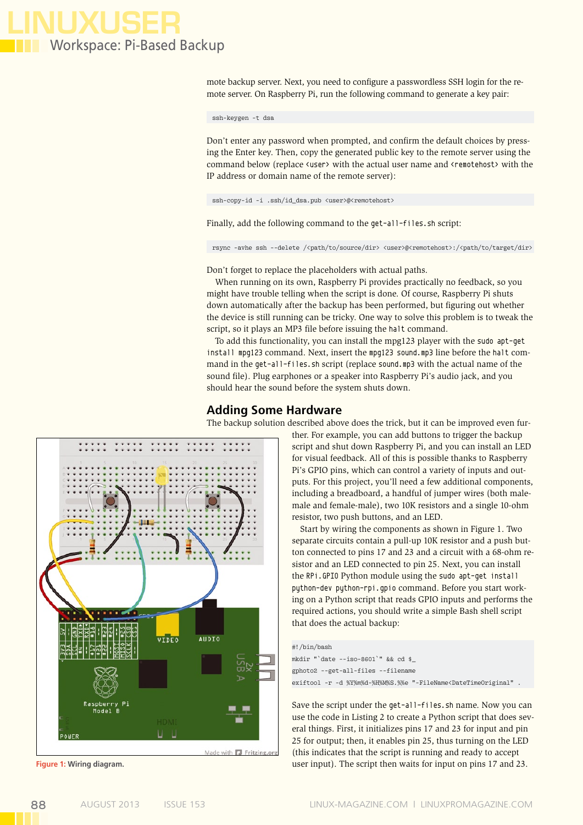

mote backup server. Next, you need to configure a passwordless SSH login for the remote server. On Raspberry Pi, run the following command to generate a key pair:

ssh-keygen ‑t dsa

Don't enter any password when prompted, and confirm the default choices by pressing the Enter key. Then, copy the generated public key to the remote server using the command below (replace <user> with the actual user name and <remotehost> with the IP address or domain name of the remote server):

ssh-copy-id -i .ssh/id\_dsa.pub <user>@<remotehost>

Finally, add the following command to the get-all-files.sh script:

rsync -avhe ssh --delete /<path/to/source/dir> <user>@<remotehost>:/<path/to/target/dir>

Don't forget to replace the placeholders with actual paths.

When running on its own, Raspberry Pi provides practically no feedback, so you might have trouble telling when the script is done. Of course, Raspberry Pi shuts down automatically after the backup has been performed, but figuring out whether the device is still running can be tricky. One way to solve this problem is to tweak the script, so it plays an MP3 file before issuing the halt command.

To add this functionality, you can install the mpg123 player with the sudo apt-qet install mpg123 command. Next, insert the mpg123 sound.mp3 line before the halt command in the get-all-files.sh script (replace sound.mp3 with the actual name of the sound file). Plug earphones or a speaker into Raspberry Pi's audio jack, and you should hear the sound before the system shuts down.

#### **Adding Some Hardware**

The backup solution described above does the trick, but it can be improved even fur-



ther. For example, you can add buttons to trigger the backup script and shut down Raspberry Pi, and you can install an LED for visual feedback. All of this is possible thanks to Raspberry Pi's GPIO pins, which can control a variety of inputs and outputs. For this project, you'll need a few additional components, including a breadboard, a handful of jumper wires (both malemale and female-male), two 10K resistors and a single 10-ohm resistor, two push buttons, and an LED.

Start by wiring the components as shown in Figure 1. Two separate circuits contain a pull-up 10K resistor and a push button connected to pins 17 and 23 and a circuit with a 68-ohm resistor and an LED connected to pin 25. Next, you can install the RPi.GPIO Python module using the sudo apt-get install python-dev python-rpi.gpio command. Before you start working on a Python script that reads GPIO inputs and performs the required actions, you should write a simple Bash shell script that does the actual backup:

#### #!/bin/bash

mkdir "`date ‑‑iso‑8601`" && cd \$\_ gphoto2 --get-all-files --filename exiftool -r -d %Y%m%d-%H%M%S.%%e "-FileName<DateTimeOriginal" .

Save the script under the get-all-files.sh name. Now you can use the code in Listing 2 to create a Python script that does several things. First, it initializes pins 17 and 23 for input and pin 25 for output; then, it enables pin 25, thus turning on the LED (this indicates that the script is running and ready to accept **Figure 1: Wiring diagram.** The script then waits for input on pins 17 and 23.